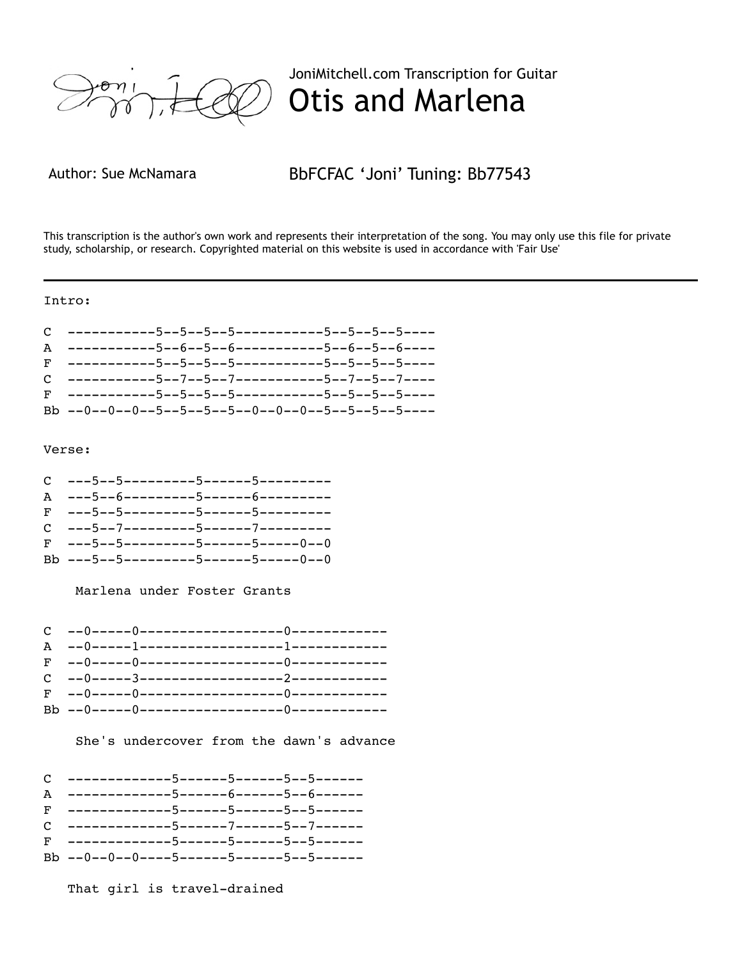

JoniMitchell.com Transcription for Guitar Otis and Marlena

Author: Sue McNamara BbFCFAC 'Joni' Tuning: Bb77543

This transcription is the author's own work and represents their interpretation of the song. You may only use this file for private study, scholarship, or research. Copyrighted material on this website is used in accordance with 'Fair Use'

## Intro:

|  |  | A -----------5--6--5--6------------5--6--5--6---- |
|--|--|---------------------------------------------------|
|  |  |                                                   |
|  |  |                                                   |
|  |  |                                                   |
|  |  |                                                   |
|  |  |                                                   |
|  |  |                                                   |

## Verse:

|  | $C$ ---5--5---------5------5---------  |
|--|----------------------------------------|
|  | A ---5--6---------5------6---------    |
|  |                                        |
|  | F ---5--5----------5------5---------   |
|  | $C$ ---5--7---------5------7---------  |
|  |                                        |
|  | $F$ ---5--5---------5------5-----0--0  |
|  | Bb $---5--5------5---5---5---5---0--0$ |

Marlena under Foster Grants

She's undercover from the dawn's advance

| A -------------5-------6------5--6------ |  |  |
|------------------------------------------|--|--|
| F -------------5------5------5--5------  |  |  |
| C -------------5------7------5--7------  |  |  |
|                                          |  |  |
| F -------------5------5------5--5------  |  |  |
|                                          |  |  |
|                                          |  |  |

That girl is travel-drained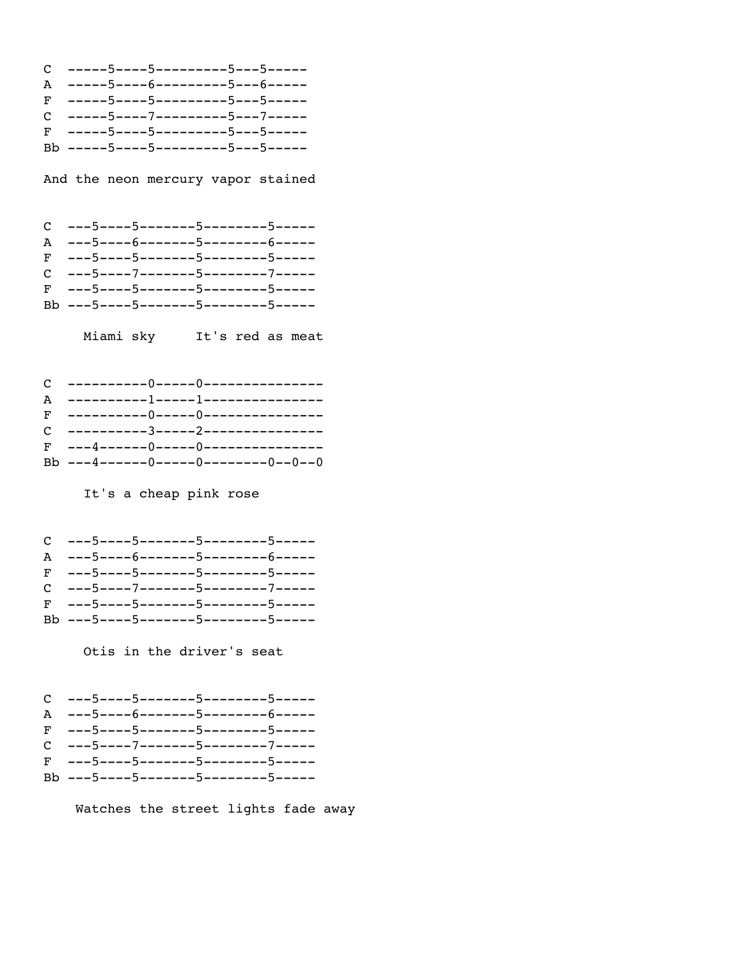|  | C $---5---5---5-----5---5---5---5---5---$ |  |
|--|-------------------------------------------|--|
|  | A -----5----6----------5---6-----         |  |
|  | F -----5----5---------5---5-----          |  |
|  | C $---5---7------5---5---7---7---$        |  |
|  |                                           |  |
|  | $F$ -----5----5---------5---5-----        |  |
|  | Bb -----5----5----------5---5-----        |  |

And the neon mercury vapor stained



Miami sky It's red as meat



It's a cheap pink rose

|  |  | $C$ ---5----5--------5---------5----- |
|--|--|---------------------------------------|
|  |  | A ---5----6--------5---------6-----   |
|  |  |                                       |
|  |  | F ---5----5--------5---------5-----   |
|  |  | $C$ ---5----7-------5--------7-----   |
|  |  | $F$ ---5----5--------5---------5----- |
|  |  | Bb $---5---5-----5-----5------5---$   |
|  |  |                                       |

Otis in the driver's seat

|  | $C$ ---5----5--------5---------5----- |  |
|--|---------------------------------------|--|
|  | A ---5----6--------5---------6-----   |  |
|  | F ---5----5--------5---------5-----   |  |
|  | $C$ ---5----7-------5--------7-----   |  |
|  | $F$ ---5----5--------5---------5----- |  |
|  | Bb $---5---5-----5------5-----5---$   |  |
|  |                                       |  |

Watches the street lights fade away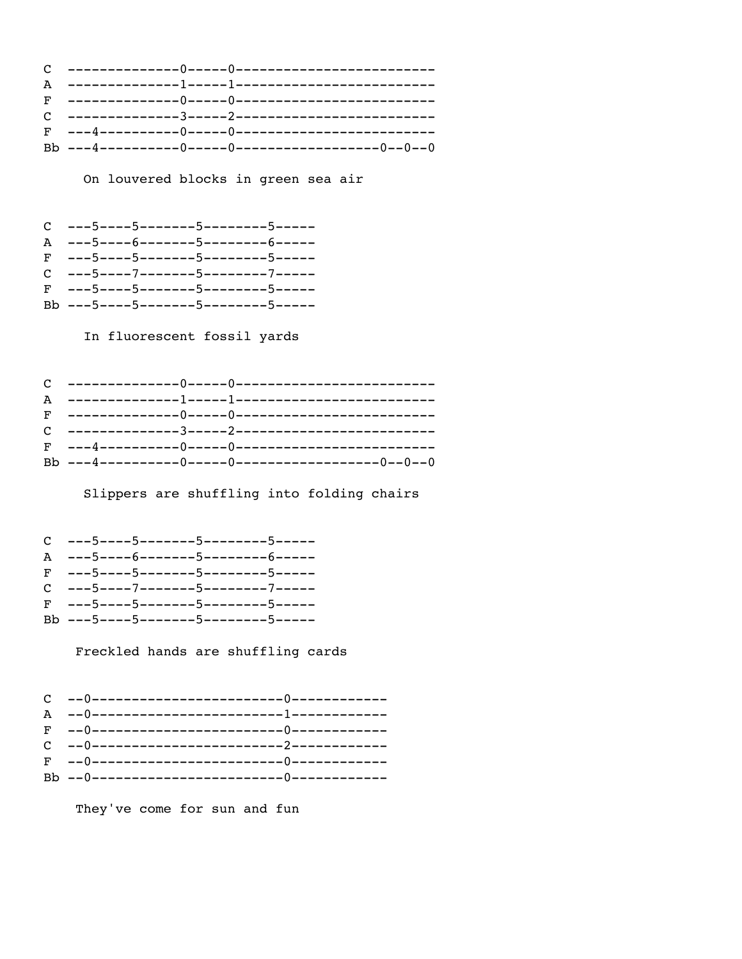|  | Bb $---4------0---0---0------0---------------0---0---0---0$ |  |
|--|-------------------------------------------------------------|--|

On louvered blocks in green sea air

|  |  | $C$ ---5----5--------5---------5----- |
|--|--|---------------------------------------|
|  |  | A ---5----6--------5---------6-----   |
|  |  | $F$ ---5----5--------5---------5----- |
|  |  |                                       |
|  |  | $C$ ---5----7-------5--------7-----   |
|  |  | F ---5----5--------5---------5-----   |
|  |  | Bb $---5---5-----5-----5------5---$   |

In fluorescent fossil yards

|  | Bb $---4------0---0------0---------------0---0---0---0$ |  |
|--|---------------------------------------------------------|--|
|  |                                                         |  |

Slippers are shuffling into folding chairs

|  |  | $C$ ---5----5--------5---------5----- |
|--|--|---------------------------------------|
|  |  | A ---5----6--------5---------6-----   |
|  |  | $F$ ---5----5--------5---------5----- |
|  |  |                                       |
|  |  | $C$ ---5----7--------5---------7----- |
|  |  | $F$ ---5----5--------5---------5----- |
|  |  | Bb $---5---5-----5------5------5---$  |

Freckled hands are shuffling cards

They've come for sun and fun